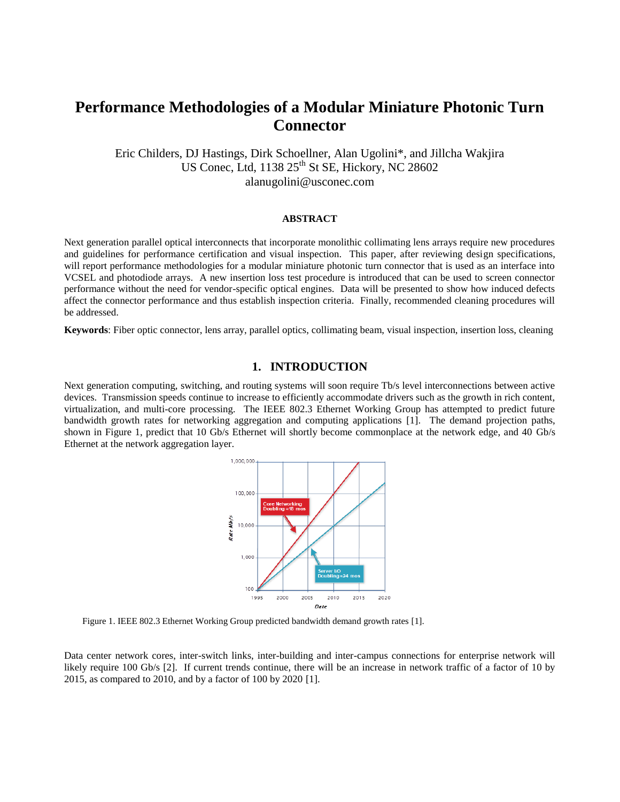# **Performance Methodologies of a Modular Miniature Photonic Turn Connector**

Eric Childers, DJ Hastings, Dirk Schoellner, Alan Ugolini\*, and Jillcha Wakjira US Conec, Ltd,  $1138$   $25<sup>th</sup>$  St SE, Hickory, NC 28602 [alanugolini@usconec.com](mailto:alanugolini@usconec.com)

#### **ABSTRACT**

Next generation parallel optical interconnects that incorporate monolithic collimating lens arrays require new procedures and guidelines for performance certification and visual inspection. This paper, after reviewing design specifications, will report performance methodologies for a modular miniature photonic turn connector that is used as an interface into VCSEL and photodiode arrays. A new insertion loss test procedure is introduced that can be used to screen connector performance without the need for vendor-specific optical engines. Data will be presented to show how induced defects affect the connector performance and thus establish inspection criteria. Finally, recommended cleaning procedures will be addressed.

**Keywords**: Fiber optic connector, lens array, parallel optics, collimating beam, visual inspection, insertion loss, cleaning

# **1. INTRODUCTION**

Next generation computing, switching, and routing systems will soon require Tb/s level interconnections between active devices. Transmission speeds continue to increase to efficiently accommodate drivers such as the growth in rich content, virtualization, and multi-core processing. The IEEE 802.3 Ethernet Working Group has attempted to predict future bandwidth growth rates for networking aggregation and computing applications [1]. The demand projection paths, shown in Figure 1, predict that 10 Gb/s Ethernet will shortly become commonplace at the network edge, and 40 Gb/s Ethernet at the network aggregation layer.



Figure 1. IEEE 802.3 Ethernet Working Group predicted bandwidth demand growth rates [1].

Data center network cores, inter-switch links, inter-building and inter-campus connections for enterprise network will likely require 100 Gb/s [2]. If current trends continue, there will be an increase in network traffic of a factor of 10 by 2015, as compared to 2010, and by a factor of 100 by 2020 [1].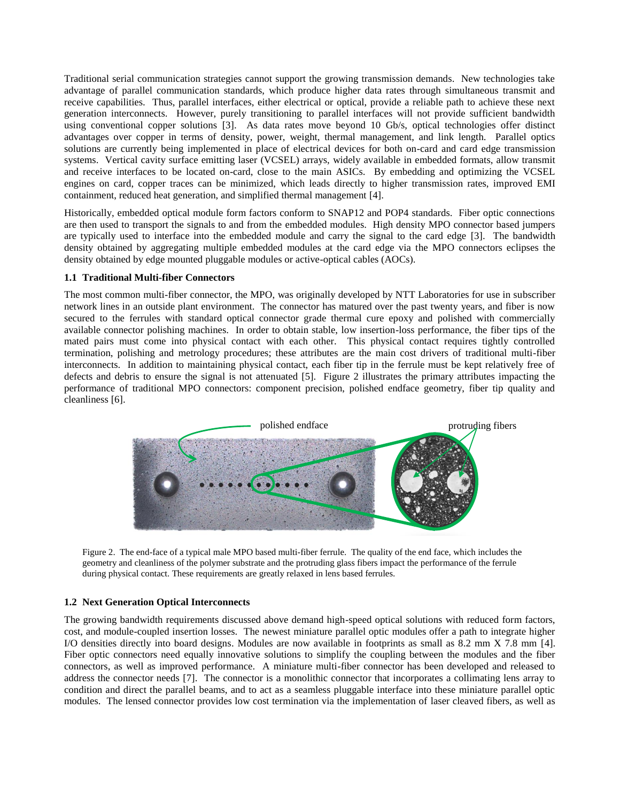Traditional serial communication strategies cannot support the growing transmission demands. New technologies take advantage of parallel communication standards, which produce higher data rates through simultaneous transmit and receive capabilities. Thus, parallel interfaces, either electrical or optical, provide a reliable path to achieve these next generation interconnects. However, purely transitioning to parallel interfaces will not provide sufficient bandwidth using conventional copper solutions [3]. As data rates move beyond 10 Gb/s, optical technologies offer distinct advantages over copper in terms of density, power, weight, thermal management, and link length. Parallel optics solutions are currently being implemented in place of electrical devices for both on-card and card edge transmission systems. Vertical cavity surface emitting laser (VCSEL) arrays, widely available in embedded formats, allow transmit and receive interfaces to be located on-card, close to the main ASICs. By embedding and optimizing the VCSEL engines on card, copper traces can be minimized, which leads directly to higher transmission rates, improved EMI containment, reduced heat generation, and simplified thermal management [4].

Historically, embedded optical module form factors conform to SNAP12 and POP4 standards. Fiber optic connections are then used to transport the signals to and from the embedded modules. High density MPO connector based jumpers are typically used to interface into the embedded module and carry the signal to the card edge [3]. The bandwidth density obtained by aggregating multiple embedded modules at the card edge via the MPO connectors eclipses the density obtained by edge mounted pluggable modules or active-optical cables (AOCs).

### **1.1 Traditional Multi-fiber Connectors**

The most common multi-fiber connector, the MPO, was originally developed by NTT Laboratories for use in subscriber network lines in an outside plant environment. The connector has matured over the past twenty years, and fiber is now secured to the ferrules with standard optical connector grade thermal cure epoxy and polished with commercially available connector polishing machines. In order to obtain stable, low insertion-loss performance, the fiber tips of the mated pairs must come into physical contact with each other. This physical contact requires tightly controlled termination, polishing and metrology procedures; these attributes are the main cost drivers of traditional multi-fiber interconnects. In addition to maintaining physical contact, each fiber tip in the ferrule must be kept relatively free of defects and debris to ensure the signal is not attenuated [5]. Figure 2 illustrates the primary attributes impacting the performance of traditional MPO connectors: component precision, polished endface geometry, fiber tip quality and cleanliness [6].





### **1.2 Next Generation Optical Interconnects**

The growing bandwidth requirements discussed above demand high-speed optical solutions with reduced form factors, cost, and module-coupled insertion losses. The newest miniature parallel optic modules offer a path to integrate higher I/O densities directly into board designs. Modules are now available in footprints as small as 8.2 mm X 7.8 mm [4]. Fiber optic connectors need equally innovative solutions to simplify the coupling between the modules and the fiber connectors, as well as improved performance. A miniature multi-fiber connector has been developed and released to address the connector needs [7]. The connector is a monolithic connector that incorporates a collimating lens array to condition and direct the parallel beams, and to act as a seamless pluggable interface into these miniature parallel optic modules. The lensed connector provides low cost termination via the implementation of laser cleaved fibers, as well as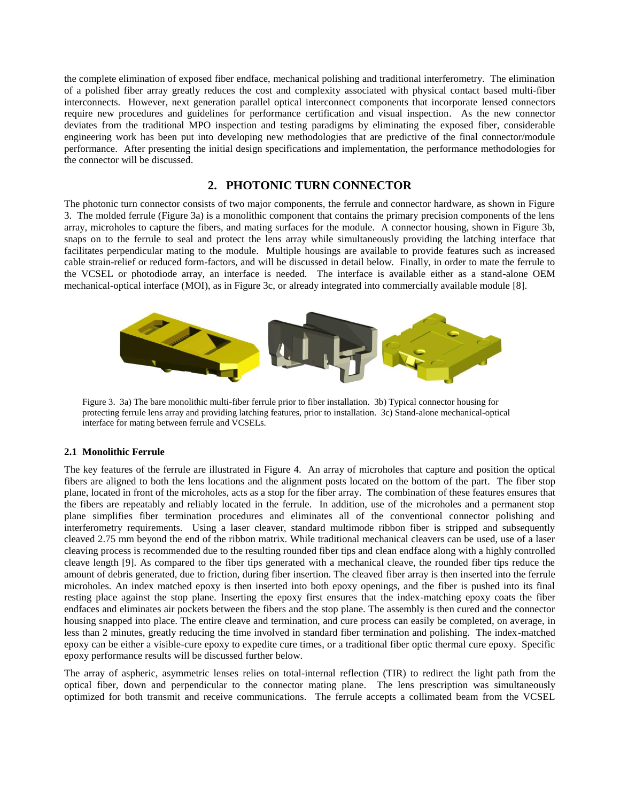the complete elimination of exposed fiber endface, mechanical polishing and traditional interferometry. The elimination of a polished fiber array greatly reduces the cost and complexity associated with physical contact based multi-fiber interconnects. However, next generation parallel optical interconnect components that incorporate lensed connectors require new procedures and guidelines for performance certification and visual inspection. As the new connector deviates from the traditional MPO inspection and testing paradigms by eliminating the exposed fiber, considerable engineering work has been put into developing new methodologies that are predictive of the final connector/module performance. After presenting the initial design specifications and implementation, the performance methodologies for the connector will be discussed.

# **2. PHOTONIC TURN CONNECTOR**

The photonic turn connector consists of two major components, the ferrule and connector hardware, as shown in Figure 3. The molded ferrule (Figure 3a) is a monolithic component that contains the primary precision components of the lens array, microholes to capture the fibers, and mating surfaces for the module. A connector housing, shown in Figure 3b, snaps on to the ferrule to seal and protect the lens array while simultaneously providing the latching interface that facilitates perpendicular mating to the module. Multiple housings are available to provide features such as increased cable strain-relief or reduced form-factors, and will be discussed in detail below. Finally, in order to mate the ferrule to the VCSEL or photodiode array, an interface is needed. The interface is available either as a stand-alone OEM mechanical-optical interface (MOI), as in Figure 3c, or already integrated into commercially available module [8].



Figure 3. 3a) The bare monolithic multi-fiber ferrule prior to fiber installation. 3b) Typical connector housing for protecting ferrule lens array and providing latching features, prior to installation. 3c) Stand-alone mechanical-optical interface for mating between ferrule and VCSELs.

### **2.1 Monolithic Ferrule**

The key features of the ferrule are illustrated in Figure 4. An array of microholes that capture and position the optical fibers are aligned to both the lens locations and the alignment posts located on the bottom of the part. The fiber stop plane, located in front of the microholes, acts as a stop for the fiber array. The combination of these features ensures that the fibers are repeatably and reliably located in the ferrule. In addition, use of the microholes and a permanent stop plane simplifies fiber termination procedures and eliminates all of the conventional connector polishing and interferometry requirements. Using a laser cleaver, standard multimode ribbon fiber is stripped and subsequently cleaved 2.75 mm beyond the end of the ribbon matrix. While traditional mechanical cleavers can be used, use of a laser cleaving process is recommended due to the resulting rounded fiber tips and clean endface along with a highly controlled cleave length [9]. As compared to the fiber tips generated with a mechanical cleave, the rounded fiber tips reduce the amount of debris generated, due to friction, during fiber insertion. The cleaved fiber array is then inserted into the ferrule microholes. An index matched epoxy is then inserted into both epoxy openings, and the fiber is pushed into its final resting place against the stop plane. Inserting the epoxy first ensures that the index-matching epoxy coats the fiber endfaces and eliminates air pockets between the fibers and the stop plane. The assembly is then cured and the connector housing snapped into place. The entire cleave and termination, and cure process can easily be completed, on average, in less than 2 minutes, greatly reducing the time involved in standard fiber termination and polishing. The index-matched epoxy can be either a visible-cure epoxy to expedite cure times, or a traditional fiber optic thermal cure epoxy. Specific epoxy performance results will be discussed further below.

The array of aspheric, asymmetric lenses relies on total-internal reflection (TIR) to redirect the light path from the optical fiber, down and perpendicular to the connector mating plane. The lens prescription was simultaneously optimized for both transmit and receive communications. The ferrule accepts a collimated beam from the VCSEL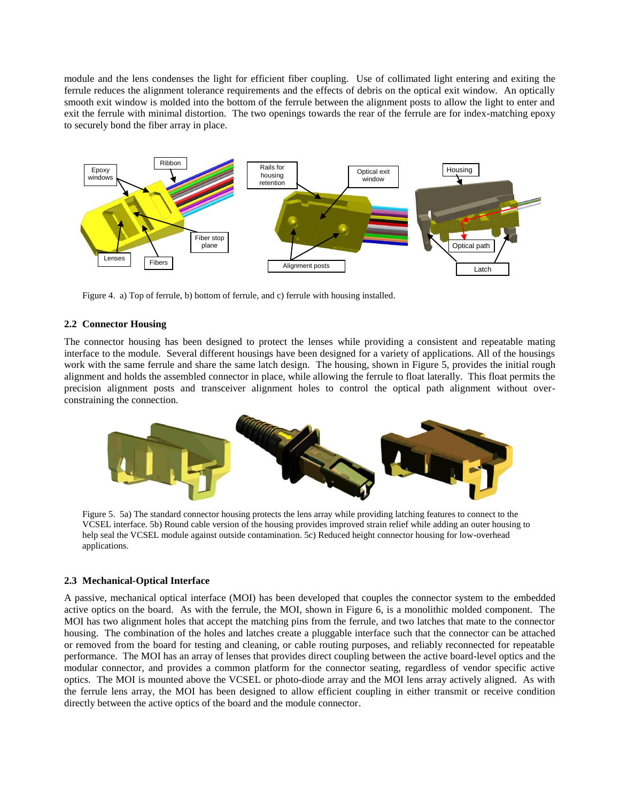module and the lens condenses the light for efficient fiber coupling. Use of collimated light entering and exiting the ferrule reduces the alignment tolerance requirements and the effects of debris on the optical exit window. An optically smooth exit window is molded into the bottom of the ferrule between the alignment posts to allow the light to enter and exit the ferrule with minimal distortion. The two openings towards the rear of the ferrule are for index-matching epoxy to securely bond the fiber array in place.



Figure 4. a) Top of ferrule, b) bottom of ferrule, and c) ferrule with housing installed.

### **2.2 Connector Housing**

The connector housing has been designed to protect the lenses while providing a consistent and repeatable mating interface to the module. Several different housings have been designed for a variety of applications. All of the housings work with the same ferrule and share the same latch design. The housing, shown in Figure 5, provides the initial rough alignment and holds the assembled connector in place, while allowing the ferrule to float laterally. This float permits the precision alignment posts and transceiver alignment holes to control the optical path alignment without overconstraining the connection.



Figure 5. 5a) The standard connector housing protects the lens array while providing latching features to connect to the VCSEL interface. 5b) Round cable version of the housing provides improved strain relief while adding an outer housing to help seal the VCSEL module against outside contamination. 5c) Reduced height connector housing for low-overhead applications.

### **2.3 Mechanical-Optical Interface**

A passive, mechanical optical interface (MOI) has been developed that couples the connector system to the embedded active optics on the board. As with the ferrule, the MOI, shown in Figure 6, is a monolithic molded component. The MOI has two alignment holes that accept the matching pins from the ferrule, and two latches that mate to the connector housing. The combination of the holes and latches create a pluggable interface such that the connector can be attached or removed from the board for testing and cleaning, or cable routing purposes, and reliably reconnected for repeatable performance. The MOI has an array of lenses that provides direct coupling between the active board-level optics and the modular connector, and provides a common platform for the connector seating, regardless of vendor specific active optics. The MOI is mounted above the VCSEL or photo-diode array and the MOI lens array actively aligned. As with the ferrule lens array, the MOI has been designed to allow efficient coupling in either transmit or receive condition directly between the active optics of the board and the module connector.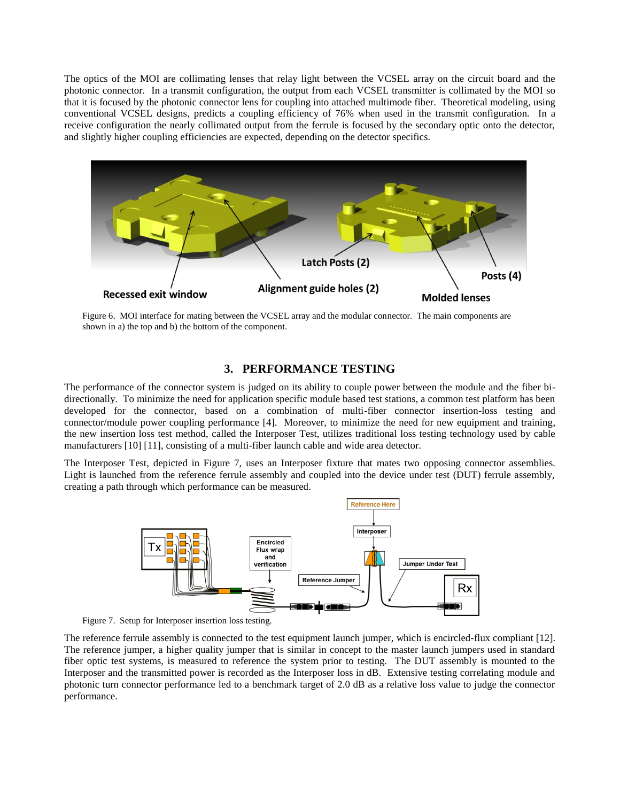The optics of the MOI are collimating lenses that relay light between the VCSEL array on the circuit board and the photonic connector. In a transmit configuration, the output from each VCSEL transmitter is collimated by the MOI so that it is focused by the photonic connector lens for coupling into attached multimode fiber. Theoretical modeling, using conventional VCSEL designs, predicts a coupling efficiency of 76% when used in the transmit configuration. In a receive configuration the nearly collimated output from the ferrule is focused by the secondary optic onto the detector, and slightly higher coupling efficiencies are expected, depending on the detector specifics.



Figure 6. MOI interface for mating between the VCSEL array and the modular connector. The main components are shown in a) the top and b) the bottom of the component.

# **3. PERFORMANCE TESTING**

The performance of the connector system is judged on its ability to couple power between the module and the fiber bidirectionally. To minimize the need for application specific module based test stations, a common test platform has been developed for the connector, based on a combination of multi-fiber connector insertion-loss testing and connector/module power coupling performance [4]. Moreover, to minimize the need for new equipment and training, the new insertion loss test method, called the Interposer Test, utilizes traditional loss testing technology used by cable manufacturers [10] [11], consisting of a multi-fiber launch cable and wide area detector.

The Interposer Test, depicted in Figure 7, uses an Interposer fixture that mates two opposing connector assemblies. Light is launched from the reference ferrule assembly and coupled into the device under test (DUT) ferrule assembly, creating a path through which performance can be measured.



Figure 7. Setup for Interposer insertion loss testing.

The reference ferrule assembly is connected to the test equipment launch jumper, which is encircled-flux compliant [12]. The reference jumper, a higher quality jumper that is similar in concept to the master launch jumpers used in standard fiber optic test systems, is measured to reference the system prior to testing. The DUT assembly is mounted to the Interposer and the transmitted power is recorded as the Interposer loss in dB. Extensive testing correlating module and photonic turn connector performance led to a benchmark target of 2.0 dB as a relative loss value to judge the connector performance.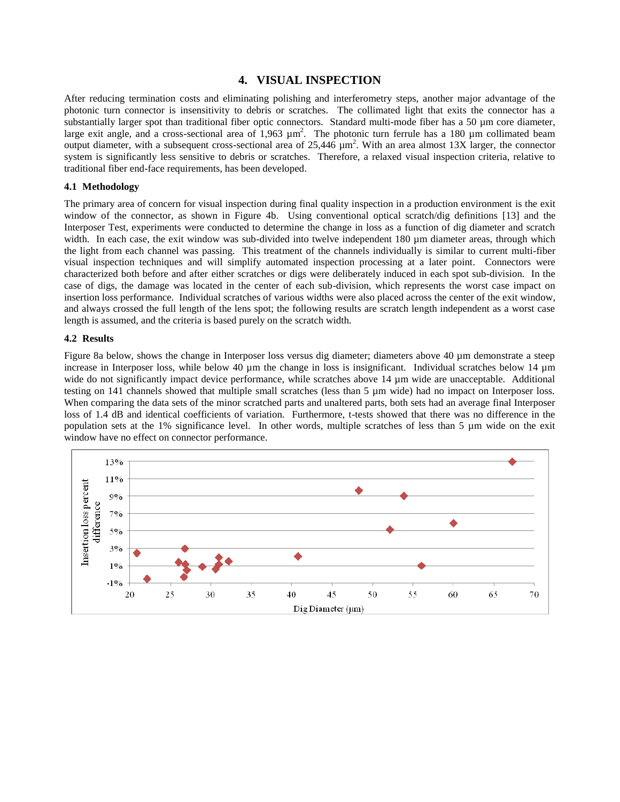# **4. VISUAL INSPECTION**

After reducing termination costs and eliminating polishing and interferometry steps, another major advantage of the photonic turn connector is insensitivity to debris or scratches. The collimated light that exits the connector has a substantially larger spot than traditional fiber optic connectors. Standard multi-mode fiber has a 50 µm core diameter, large exit angle, and a cross-sectional area of  $1,963 \mu m^2$ . The photonic turn ferrule has a 180  $\mu$ m collimated beam output diameter, with a subsequent cross-sectional area of  $25,446 \mu m^2$ . With an area almost 13X larger, the connector system is significantly less sensitive to debris or scratches. Therefore, a relaxed visual inspection criteria, relative to traditional fiber end-face requirements, has been developed.

### **4.1 Methodology**

The primary area of concern for visual inspection during final quality inspection in a production environment is the exit window of the connector, as shown in Figure 4b. Using conventional optical scratch/dig definitions [13] and the Interposer Test, experiments were conducted to determine the change in loss as a function of dig diameter and scratch width. In each case, the exit window was sub-divided into twelve independent 180 µm diameter areas, through which the light from each channel was passing. This treatment of the channels individually is similar to current multi-fiber visual inspection techniques and will simplify automated inspection processing at a later point. Connectors were characterized both before and after either scratches or digs were deliberately induced in each spot sub-division. In the case of digs, the damage was located in the center of each sub-division, which represents the worst case impact on insertion loss performance. Individual scratches of various widths were also placed across the center of the exit window, and always crossed the full length of the lens spot; the following results are scratch length independent as a worst case length is assumed, and the criteria is based purely on the scratch width.

### **4.2 Results**

Figure 8a below, shows the change in Interposer loss versus dig diameter; diameters above 40 µm demonstrate a steep increase in Interposer loss, while below 40 µm the change in loss is insignificant. Individual scratches below 14 µm wide do not significantly impact device performance, while scratches above 14  $\mu$ m wide are unacceptable. Additional testing on 141 channels showed that multiple small scratches (less than 5 µm wide) had no impact on Interposer loss. When comparing the data sets of the minor scratched parts and unaltered parts, both sets had an average final Interposer loss of 1.4 dB and identical coefficients of variation. Furthermore, t-tests showed that there was no difference in the population sets at the 1% significance level. In other words, multiple scratches of less than 5 µm wide on the exit window have no effect on connector performance.

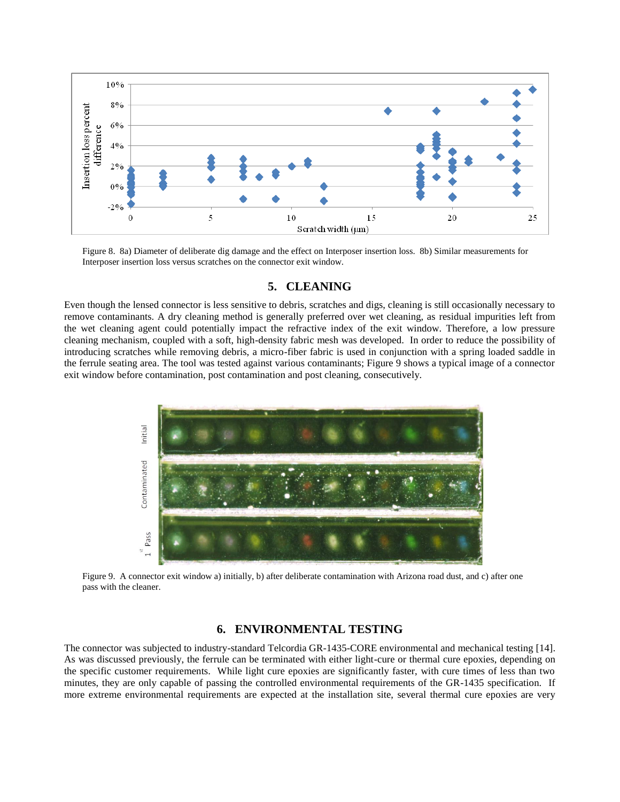

Figure 8. 8a) Diameter of deliberate dig damage and the effect on Interposer insertion loss. 8b) Similar measurements for Interposer insertion loss versus scratches on the connector exit window.

## **5. CLEANING**

Even though the lensed connector is less sensitive to debris, scratches and digs, cleaning is still occasionally necessary to remove contaminants. A dry cleaning method is generally preferred over wet cleaning, as residual impurities left from the wet cleaning agent could potentially impact the refractive index of the exit window. Therefore, a low pressure cleaning mechanism, coupled with a soft, high-density fabric mesh was developed. In order to reduce the possibility of introducing scratches while removing debris, a micro-fiber fabric is used in conjunction with a spring loaded saddle in the ferrule seating area. The tool was tested against various contaminants; Figure 9 shows a typical image of a connector exit window before contamination, post contamination and post cleaning, consecutively.



Figure 9. A connector exit window a) initially, b) after deliberate contamination with Arizona road dust, and c) after one pass with the cleaner.

# **6. ENVIRONMENTAL TESTING**

The connector was subjected to industry-standard Telcordia GR-1435-CORE environmental and mechanical testing [14]. As was discussed previously, the ferrule can be terminated with either light-cure or thermal cure epoxies, depending on the specific customer requirements. While light cure epoxies are significantly faster, with cure times of less than two minutes, they are only capable of passing the controlled environmental requirements of the GR-1435 specification. If more extreme environmental requirements are expected at the installation site, several thermal cure epoxies are very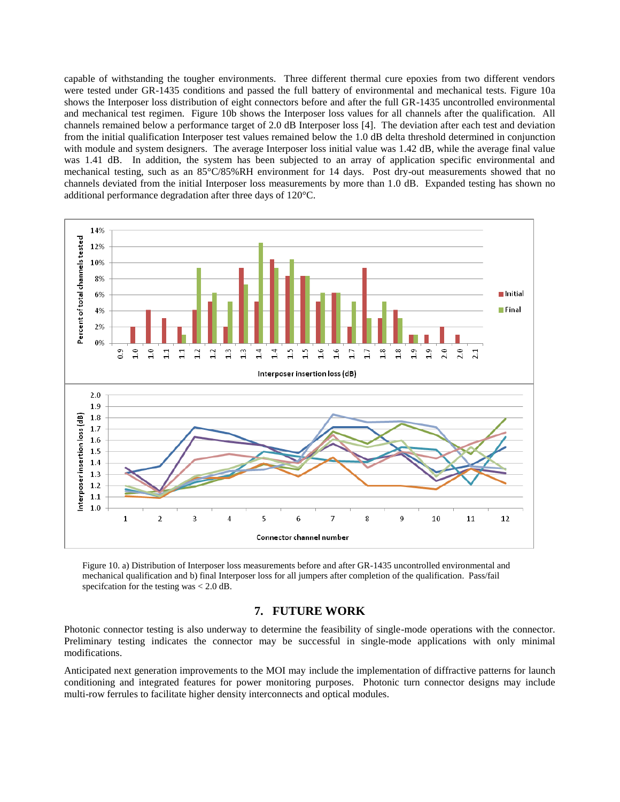capable of withstanding the tougher environments. Three different thermal cure epoxies from two different vendors were tested under GR-1435 conditions and passed the full battery of environmental and mechanical tests. Figure 10a shows the Interposer loss distribution of eight connectors before and after the full GR-1435 uncontrolled environmental and mechanical test regimen. Figure 10b shows the Interposer loss values for all channels after the qualification. All channels remained below a performance target of 2.0 dB Interposer loss [4]. The deviation after each test and deviation from the initial qualification Interposer test values remained below the 1.0 dB delta threshold determined in conjunction with module and system designers. The average Interposer loss initial value was 1.42 dB, while the average final value was 1.41 dB. In addition, the system has been subjected to an array of application specific environmental and mechanical testing, such as an 85°C/85%RH environment for 14 days. Post dry-out measurements showed that no channels deviated from the initial Interposer loss measurements by more than 1.0 dB. Expanded testing has shown no additional performance degradation after three days of 120°C.



Figure 10. a) Distribution of Interposer loss measurements before and after GR-1435 uncontrolled environmental and mechanical qualification and b) final Interposer loss for all jumpers after completion of the qualification. Pass/fail specifcation for the testing was < 2.0 dB.

## **7. FUTURE WORK**

Photonic connector testing is also underway to determine the feasibility of single-mode operations with the connector. Preliminary testing indicates the connector may be successful in single-mode applications with only minimal modifications.

Anticipated next generation improvements to the MOI may include the implementation of diffractive patterns for launch conditioning and integrated features for power monitoring purposes. Photonic turn connector designs may include multi-row ferrules to facilitate higher density interconnects and optical modules.